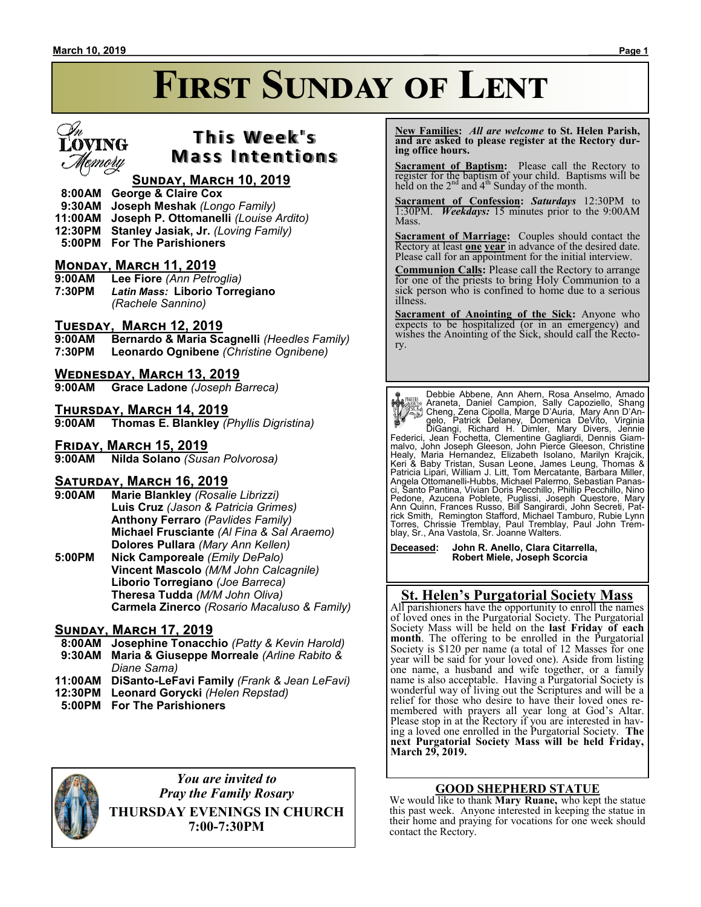

# **T h i s We e k ' s Mass Intentions**

## **Sunday, March 10, 2019**

- **8:00AM George & Claire Cox**
- **9:30AM Joseph Meshak** *(Longo Family)*
- **11:00AM Joseph P. Ottomanelli** *(Louise Ardito)*
- **12:30PM Stanley Jasiak, Jr.** *(Loving Family)*
- **5:00PM For The Parishioners**

## **Monday, March 11, 2019**

**9:00AM Lee Fiore** *(Ann Petroglia)* **7:30PM** *Latin Mass:* **Liborio Torregiano** *(Rachele Sannino)*

# **Tuesday, March 12, 2019**

**9:00AM Bernardo & Maria Scagnelli** *(Heedles Family)* **7:30PM Leonardo Ognibene** *(Christine Ognibene)*

#### **Wednesday, March 13, 2019**

**9:00AM Grace Ladone** *(Joseph Barreca)*

# **THURSDAY, MARCH 14, 2019**<br>9:00AM Thomas E. Blankley (

**9:00AM Thomas E. Blankley** *(Phyllis Digristina)*

#### **Friday, March 15, 2019**

**9:00AM Nilda Solano** *(Susan Polvorosa)*

#### **Saturday, March 16, 2019**

- **9:00AM Marie Blankley** *(Rosalie Librizzi)* **Luis Cruz** *(Jason & Patricia Grimes)* **Anthony Ferraro** *(Pavlides Family)* **Michael Frusciante** *(Al Fina & Sal Araemo)* **Dolores Pullara** *(Mary Ann Kellen)*
- **5:00PM Nick Camporeale** *(Emily DePalo)* **Vincent Mascolo** *(M/M John Calcagnile)* **Liborio Torregiano** *(Joe Barreca)* **Theresa Tudda** *(M/M John Oliva)* **Carmela Zinerco** *(Rosario Macaluso & Family)*

#### **Sunday, March 17, 2019**

- **8:00AM Josephine Tonacchio** *(Patty & Kevin Harold)*  **9:30AM Maria & Giuseppe Morreale** *(Arline Rabito &*
- *Diane Sama)*
- **11:00AM DiSanto-LeFavi Family** *(Frank & Jean LeFavi)*
- **12:30PM Leonard Gorycki** *(Helen Repstad)*
- **5:00PM For The Parishioners**



*You are invited to Pray the Family Rosary*

**THURSDAY EVENINGS IN CHURCH 7:00-7:30PM**

 **New Families:** *All are welcome* **to St. Helen Parish, and are asked to please register at the Rectory during office hours.**

**Sacrament of Baptism:**Please call the Rectory to register for the baptism of your child. Baptisms will be held on the  $2<sup>nd</sup>$  and  $4<sup>th</sup>$  Sunday of the month.

**Sacrament of Confession:** *Saturdays* 12:30PM to 1:30PM. *Weekdays:* 15 minutes prior to the 9:00AM Mass.

**Sacrament of Marriage:**Couples should contact the Rectory at least **one year** in advance of the desired date. Please call for an appointment for the initial interview.

**Communion Calls:** Please call the Rectory to arrange for one of the priests to bring Holy Communion to a sick person who is confined to home due to a serious illness.

**Sacrament of Anointing of the Sick:** Anyone who expects to be hospitalized (or in an emergency) and wishes the Anointing of the Sick, should call the Rectory.

Person Debbie Abbene, Ann Ahern, Rosa Anselmo, Amado<br>Araneta, Daniel Campion, Sally Capoziello, Shang<br>Cheng, Zena Cipolla, Marge D'Auria, Mary Ann D'Angelo, Patrick Delaney, Domenica DeVito, Virginia<br>DiGangi, Richard H. Di Healy, Maria Hernandez, Elizabeth Isolano, Marilyn Krajcik,<br>Keri & Baby Tristan, Susan Leone, James Leung, Thomas &<br>Patricia Lipari,William J. Litt, Tom Mercatante, Barbara Miller,<br>Angela Ottomanelli-Hubbs, Michael Palermo ci, Santo Pantina, Vivian Doris Pecchillo, Phillip Pecchillo, Nino Pedone, Azucena Poblete, Puglissi, Joseph Questore, Mary Ann Quinn, Frances Russo, Bill Sangirardi, John Secreti, Patrick Smith, Remington Stafford, Michael Tamburo, Rubie Lynn Torres, Chrissie Tremblay, Paul Tremblay, Paul John Trem-blay, Sr., Ana Vastola, Sr. Joanne Walters.

**Deceased: John R. Anello, Clara Citarrella, Robert Miele, Joseph Scorcia**

### **St. Helen's Purgatorial Society Mass**

All parishioners have the opportunity to enroll the names of loved ones in the Purgatorial Society. The Purgatorial Society Mass will be held on the **last Friday of each month**. The offering to be enrolled in the Purgatorial Society is \$120 per name (a total of 12 Masses for one year will be said for your loved one). Aside from listing one name, a husband and wife together, or a family name is also acceptable. Having a Purgatorial Society is wonderful way of living out the Scriptures and will be a relief for those who desire to have their loved ones remembered with prayers all year long at God's Altar. Please stop in at the Rectory if you are interested in having a loved one enrolled in the Purgatorial Society. **The next Purgatorial Society Mass will be held Friday, March 29, 2019.**

#### **GOOD SHEPHERD STATUE**

We would like to thank **Mary Ruane,** who kept the statue this past week. Anyone interested in keeping the statue in their home and praying for vocations for one week should contact the Rectory.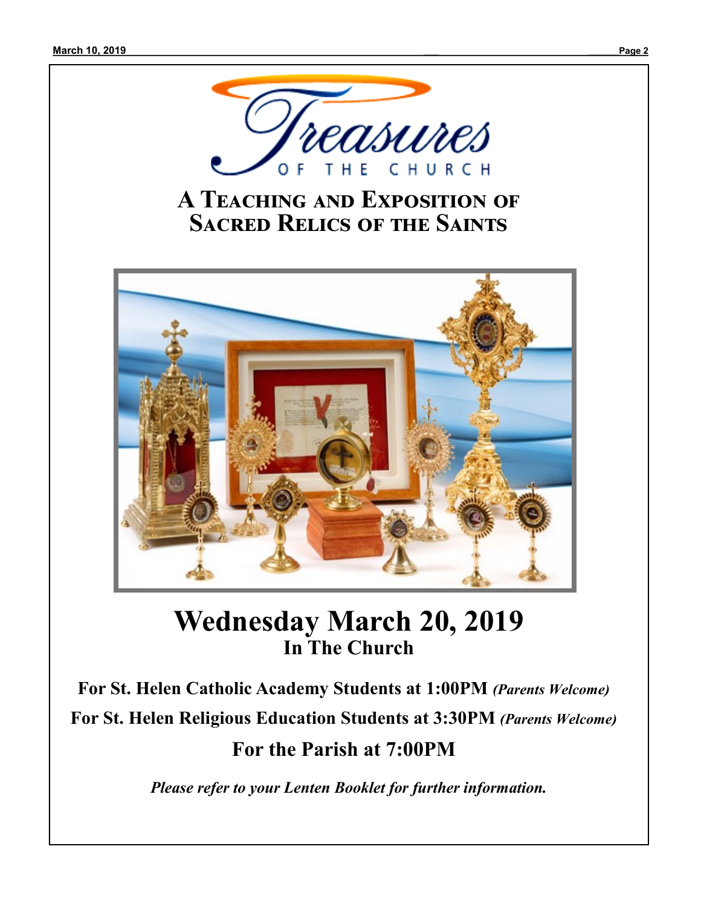

# **A Teaching and Exposition of Sacred Relics of the Saints**



# **Wednesday March 20, 2019 In The Church**

**For St. Helen Catholic Academy Students at 1:00PM** *(Parents Welcome)* **For St. Helen Religious Education Students at 3:30PM** *(Parents Welcome)* **For the Parish at 7:00PM**

*Please refer to your Lenten Booklet for further information.*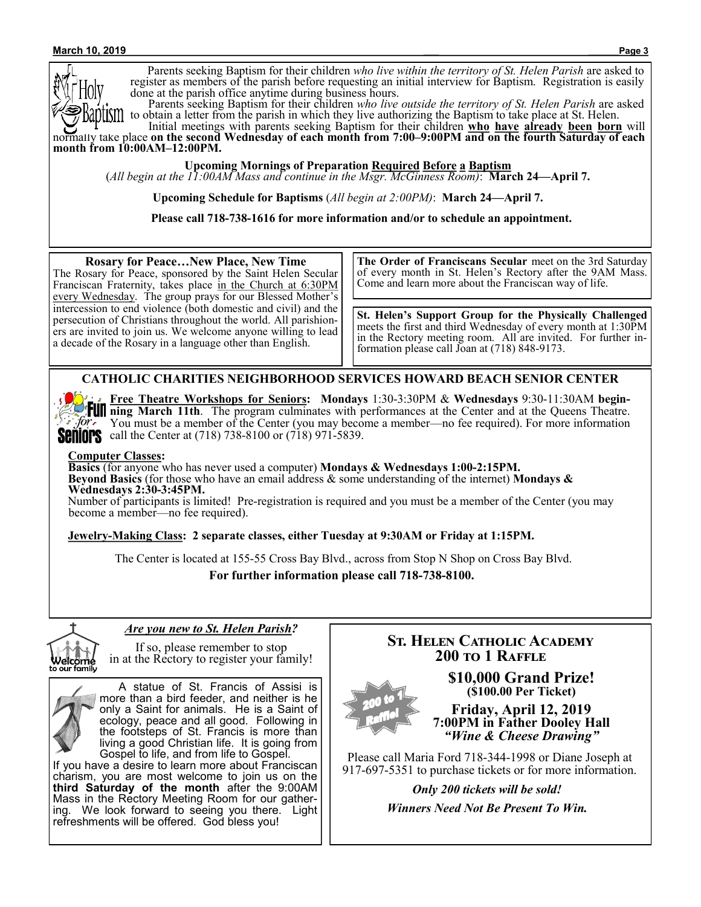Parents seeking Baptism for their children *who live within the territory of St. Helen Parish* are asked to register as members of the parish before requesting an initial interview for Baptism. Registration is easily done at the parish office anytime during business hours.

 Parents seeking Baptism for their children *who live outside the territory of St. Helen Parish* are asked to obtain a letter from the parish in which they live authorizing the Baptism to take place at St. Helen.

 Initial meetings with parents seeking Baptism for their children **who have already been born** will normally take place **on the second Wednesday of each month from 7:00–9:00PM and on the fourth Saturday of each month from 10:00AM–12:00PM.**

**Upcoming Mornings of Preparation Required Before a Baptism**

(*All begin at the 11:00AM Mass and continue in the Msgr. McGinness Room)*: **March 24—April 7.**

**Upcoming Schedule for Baptisms** (*All begin at 2:00PM)*: **March 24—April 7.**

**Please call 718-738-1616 for more information and/or to schedule an appointment.**

**St. Helen's Support Group for the Physically Challenged**  meets the first and third Wednesday of every month at 1:30PM in the Rectory meeting room. All are invited. For further information please call Joan at (718) 848-9173. **Rosary for Peace…New Place, New Time** The Rosary for Peace, sponsored by the Saint Helen Secular Franciscan Fraternity, takes place in the Church at 6:30PM every Wednesday. The group prays for our Blessed Mother's intercession to end violence (both domestic and civil) and the persecution of Christians throughout the world. All parishioners are invited to join us. We welcome anyone willing to lead a decade of the Rosary in a language other than English. **The Order of Franciscans Secular** meet on the 3rd Saturday of every month in St. Helen's Rectory after the 9AM Mass. Come and learn more about the Franciscan way of life.

#### **CATHOLIC CHARITIES NEIGHBORHOOD SERVICES HOWARD BEACH SENIOR CENTER**

 $\int$  for

**Free Theatre Workshops for Seniors: Mondays** 1:30-3:30PM & **Wednesdays** 9:30-11:30AM **begin-FUII** ning March 11th. The program culminates with performances at the Center and at the Queens Theatre. You must be a member of the Center (you may become a member—no fee required). For more information **SENIOPS** call the Center at  $(718)$  738-8100 or  $(718)$  971-5839.

#### **Computer Classes:**

**Basics** (for anyone who has never used a computer) **Mondays & Wednesdays 1:00-2:15PM. Beyond Basics** (for those who have an email address & some understanding of the internet) **Mondays & Wednesdays 2:30-3:45PM.**

Number of participants is limited! Pre-registration is required and you must be a member of the Center (you may become a member—no fee required).

#### **Jewelry-Making Class: 2 separate classes, either Tuesday at 9:30AM or Friday at 1:15PM.**

The Center is located at 155-55 Cross Bay Blvd., across from Stop N Shop on Cross Bay Blvd.

**For further information please call 718-738-8100.**



#### *Are you new to St. Helen Parish?*

If so, please remember to stop in at the Rectory to register your family!



 A statue of St. Francis of Assisi is more than a bird feeder, and neither is he only a Saint for animals. He is a Saint of ecology, peace and all good. Following in the footsteps of St. Francis is more than living a good Christian life. It is going from Gospel to life, and from life to Gospel.

If you have a desire to learn more about Franciscan charism, you are most welcome to join us on the **third Saturday of the month** after the 9:00AM Mass in the Rectory Meeting Room for our gathering. We look forward to seeing you there. Light refreshments will be offered. God bless you!

# **St. Helen Catholic Academy 200 to 1 Raffle**

**\$10,000 Grand Prize! (\$100.00 Per Ticket)**

**Friday, April 12, 2019 7:00PM in Father Dooley Hall** *"Wine & Cheese Drawing"*

Please call Maria Ford 718-344-1998 or Diane Joseph at 917-697-5351 to purchase tickets or for more information.

*Only 200 tickets will be sold!*

*Winners Need Not Be Present To Win.*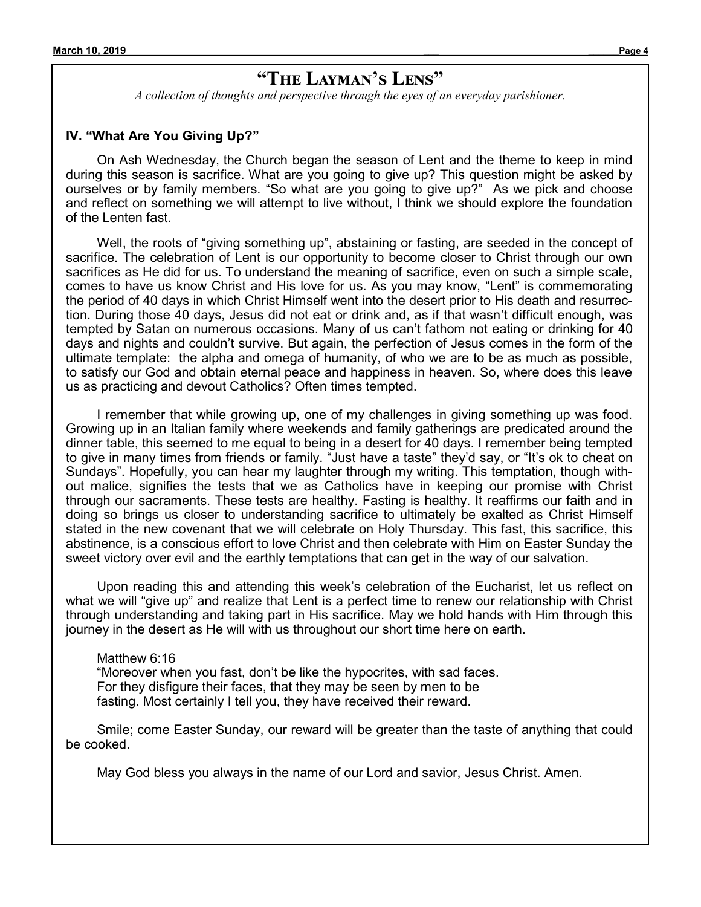# **"The Layman's Lens"**

*A collection of thoughts and perspective through the eyes of an everyday parishioner.*

#### **IV. "What Are You Giving Up?"**

On Ash Wednesday, the Church began the season of Lent and the theme to keep in mind during this season is sacrifice. What are you going to give up? This question might be asked by ourselves or by family members. "So what are you going to give up?" As we pick and choose and reflect on something we will attempt to live without, I think we should explore the foundation of the Lenten fast.

Well, the roots of "giving something up", abstaining or fasting, are seeded in the concept of sacrifice. The celebration of Lent is our opportunity to become closer to Christ through our own sacrifices as He did for us. To understand the meaning of sacrifice, even on such a simple scale, comes to have us know Christ and His love for us. As you may know, "Lent" is commemorating the period of 40 days in which Christ Himself went into the desert prior to His death and resurrection. During those 40 days, Jesus did not eat or drink and, as if that wasn't difficult enough, was tempted by Satan on numerous occasions. Many of us can't fathom not eating or drinking for 40 days and nights and couldn't survive. But again, the perfection of Jesus comes in the form of the ultimate template: the alpha and omega of humanity, of who we are to be as much as possible, to satisfy our God and obtain eternal peace and happiness in heaven. So, where does this leave us as practicing and devout Catholics? Often times tempted.

I remember that while growing up, one of my challenges in giving something up was food. Growing up in an Italian family where weekends and family gatherings are predicated around the dinner table, this seemed to me equal to being in a desert for 40 days. I remember being tempted to give in many times from friends or family. "Just have a taste" they'd say, or "It's ok to cheat on Sundays". Hopefully, you can hear my laughter through my writing. This temptation, though without malice, signifies the tests that we as Catholics have in keeping our promise with Christ through our sacraments. These tests are healthy. Fasting is healthy. It reaffirms our faith and in doing so brings us closer to understanding sacrifice to ultimately be exalted as Christ Himself stated in the new covenant that we will celebrate on Holy Thursday. This fast, this sacrifice, this abstinence, is a conscious effort to love Christ and then celebrate with Him on Easter Sunday the sweet victory over evil and the earthly temptations that can get in the way of our salvation.

Upon reading this and attending this week's celebration of the Eucharist, let us reflect on what we will "give up" and realize that Lent is a perfect time to renew our relationship with Christ through understanding and taking part in His sacrifice. May we hold hands with Him through this journey in the desert as He will with us throughout our short time here on earth.

Matthew 6:16 "Moreover when you fast, don't be like the hypocrites, with sad faces. For they disfigure their faces, that they may be seen by men to be fasting. Most certainly I tell you, they have received their reward.

Smile; come Easter Sunday, our reward will be greater than the taste of anything that could be cooked.

May God bless you always in the name of our Lord and savior, Jesus Christ. Amen.